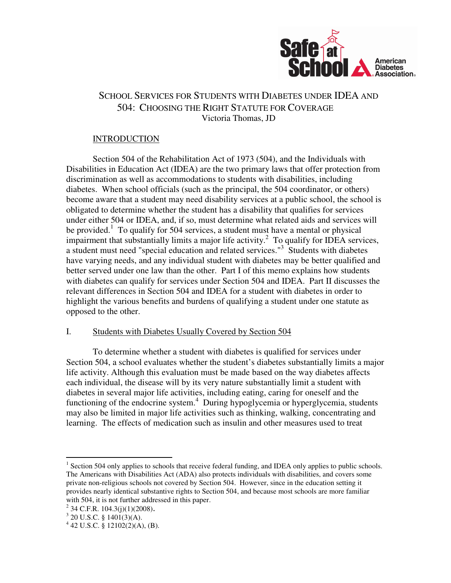

# SCHOOL SERVICES FOR STUDENTS WITH DIABETES UNDER IDEA AND 504: CHOOSING THE RIGHT STATUTE FOR COVERAGE Victoria Thomas, JD

# INTRODUCTION

 Section 504 of the Rehabilitation Act of 1973 (504), and the Individuals with Disabilities in Education Act (IDEA) are the two primary laws that offer protection from discrimination as well as accommodations to students with disabilities, including diabetes. When school officials (such as the principal, the 504 coordinator, or others) become aware that a student may need disability services at a public school, the school is obligated to determine whether the student has a disability that qualifies for services under either 504 or IDEA, and, if so, must determine what related aids and services will be provided.<sup>1</sup> To qualify for 504 services, a student must have a mental or physical impairment that substantially limits a major life activity.<sup>2</sup> To qualify for IDEA services, a student must need "special education and related services."<sup>3</sup> Students with diabetes have varying needs, and any individual student with diabetes may be better qualified and better served under one law than the other. Part I of this memo explains how students with diabetes can qualify for services under Section 504 and IDEA. Part II discusses the relevant differences in Section 504 and IDEA for a student with diabetes in order to highlight the various benefits and burdens of qualifying a student under one statute as opposed to the other.

### I. Students with Diabetes Usually Covered by Section 504

 To determine whether a student with diabetes is qualified for services under Section 504, a school evaluates whether the student's diabetes substantially limits a major life activity. Although this evaluation must be made based on the way diabetes affects each individual, the disease will by its very nature substantially limit a student with diabetes in several major life activities, including eating, caring for oneself and the functioning of the endocrine system.<sup>4</sup> During hypoglycemia or hyperglycemia, students may also be limited in major life activities such as thinking, walking, concentrating and learning. The effects of medication such as insulin and other measures used to treat

<sup>&</sup>lt;sup>1</sup> Section 504 only applies to schools that receive federal funding, and IDEA only applies to public schools. The Americans with Disabilities Act (ADA) also protects individuals with disabilities, and covers some private non-religious schools not covered by Section 504. However, since in the education setting it provides nearly identical substantive rights to Section 504, and because most schools are more familiar with 504, it is not further addressed in this paper.

 $2^{2}$  34 C.F.R. 104.3(j)(1)(2008).

 $3$  20 U.S.C. § 1401(3)(A).

 $4$  42 U.S.C. § 12102(2)(A), (B).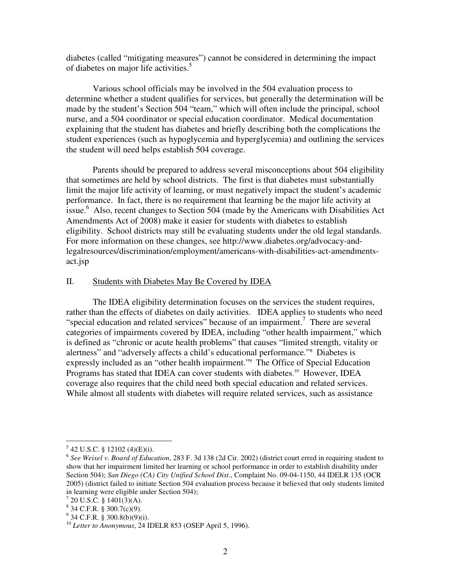diabetes (called "mitigating measures") cannot be considered in determining the impact of diabetes on major life activities.<sup>5</sup>

 Various school officials may be involved in the 504 evaluation process to determine whether a student qualifies for services, but generally the determination will be made by the student's Section 504 "team," which will often include the principal, school nurse, and a 504 coordinator or special education coordinator. Medical documentation explaining that the student has diabetes and briefly describing both the complications the student experiences (such as hypoglycemia and hyperglycemia) and outlining the services the student will need helps establish 504 coverage.

Parents should be prepared to address several misconceptions about 504 eligibility that sometimes are held by school districts. The first is that diabetes must substantially limit the major life activity of learning, or must negatively impact the student's academic performance. In fact, there is no requirement that learning be the major life activity at issue.<sup>6</sup> Also, recent changes to Section 504 (made by the Americans with Disabilities Act Amendments Act of 2008) make it easier for students with diabetes to establish eligibility. School districts may still be evaluating students under the old legal standards. For more information on these changes, see http://www.diabetes.org/advocacy-andlegalresources/discrimination/employment/americans-with-disabilities-act-amendmentsact.jsp

### II. Students with Diabetes May Be Covered by IDEA

 The IDEA eligibility determination focuses on the services the student requires, rather than the effects of diabetes on daily activities. IDEA applies to students who need "special education and related services" because of an impairment.<sup>7</sup> There are several categories of impairments covered by IDEA, including "other health impairment," which is defined as "chronic or acute health problems" that causes "limited strength, vitality or alertness" and "adversely affects a child's educational performance."<sup>8</sup> Diabetes is expressly included as an "other health impairment."<sup>9</sup> The Office of Special Education Programs has stated that IDEA can cover students with diabetes.<sup>10</sup> However, IDEA coverage also requires that the child need both special education and related services. While almost all students with diabetes will require related services, such as assistance

 $5$  42 U.S.C. § 12102 (4)(E)(i).

<sup>6</sup> *See Weixel v. Board of Education*, 283 F. 3d 138 (2d Cir. 2002) (district court erred in requiring student to show that her impairment limited her learning or school performance in order to establish disability under Section 504); *San Diego (CA) City Unified School Dist*., Complaint No. 09-04-1150, 44 IDELR 135 (OCR 2005) (district failed to initiate Section 504 evaluation process because it believed that only students limited in learning were eligible under Section 504);

 $7$  20 U.S.C. § 1401(3)(A).

 $8$  34 C.F.R. § 300.7(c)(9).

 $9^9$  34 C.F.R. § 300.8(b)(9)(i).

<sup>10</sup> *Letter to Anonymous*, 24 IDELR 853 (OSEP April 5, 1996).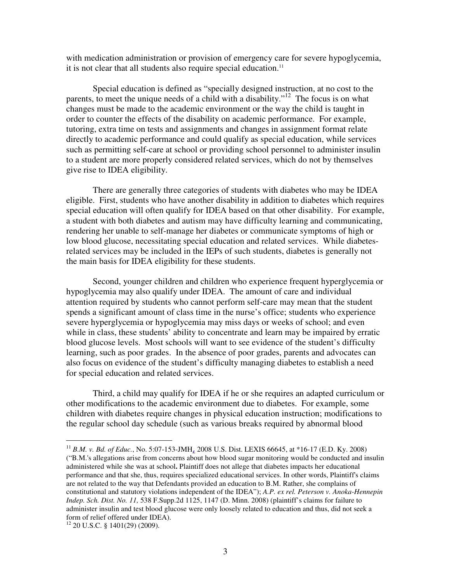with medication administration or provision of emergency care for severe hypoglycemia, it is not clear that all students also require special education.<sup>11</sup>

 Special education is defined as "specially designed instruction, at no cost to the parents, to meet the unique needs of a child with a disability."<sup>12</sup> The focus is on what changes must be made to the academic environment or the way the child is taught in order to counter the effects of the disability on academic performance. For example, tutoring, extra time on tests and assignments and changes in assignment format relate directly to academic performance and could qualify as special education, while services such as permitting self-care at school or providing school personnel to administer insulin to a student are more properly considered related services, which do not by themselves give rise to IDEA eligibility.

There are generally three categories of students with diabetes who may be IDEA eligible. First, students who have another disability in addition to diabetes which requires special education will often qualify for IDEA based on that other disability. For example, a student with both diabetes and autism may have difficulty learning and communicating, rendering her unable to self-manage her diabetes or communicate symptoms of high or low blood glucose, necessitating special education and related services. While diabetesrelated services may be included in the IEPs of such students, diabetes is generally not the main basis for IDEA eligibility for these students.

 Second, younger children and children who experience frequent hyperglycemia or hypoglycemia may also qualify under IDEA. The amount of care and individual attention required by students who cannot perform self-care may mean that the student spends a significant amount of class time in the nurse's office; students who experience severe hyperglycemia or hypoglycemia may miss days or weeks of school; and even while in class, these students' ability to concentrate and learn may be impaired by erratic blood glucose levels. Most schools will want to see evidence of the student's difficulty learning, such as poor grades. In the absence of poor grades, parents and advocates can also focus on evidence of the student's difficulty managing diabetes to establish a need for special education and related services.

 Third, a child may qualify for IDEA if he or she requires an adapted curriculum or other modifications to the academic environment due to diabetes. For example, some children with diabetes require changes in physical education instruction; modifications to the regular school day schedule (such as various breaks required by abnormal blood

<sup>&</sup>lt;sup>11</sup> *B.M. v. Bd. of Educ.*, No. 5:07-153-JMH<sub>4</sub> 2008 U.S. Dist. LEXIS 66645, at \*16-17 (E.D. Ky. 2008) ("B.M.'s allegations arise from concerns about how blood sugar monitoring would be conducted and insulin administered while she was at school**.** Plaintiff does not allege that diabetes impacts her educational performance and that she, thus, requires specialized educational services. In other words, Plaintiff's claims are not related to the way that Defendants provided an education to B.M. Rather, she complains of constitutional and statutory violations independent of the IDEA"); *A.P. ex rel. Peterson v. Anoka-Hennepin Indep. Sch. Dist. No. 11,* 538 F.Supp.2d 1125, 1147 (D. Minn. 2008) (plaintiff's claims for failure to administer insulin and test blood glucose were only loosely related to education and thus, did not seek a form of relief offered under IDEA).

 $12$  20 U.S.C. § 1401(29) (2009).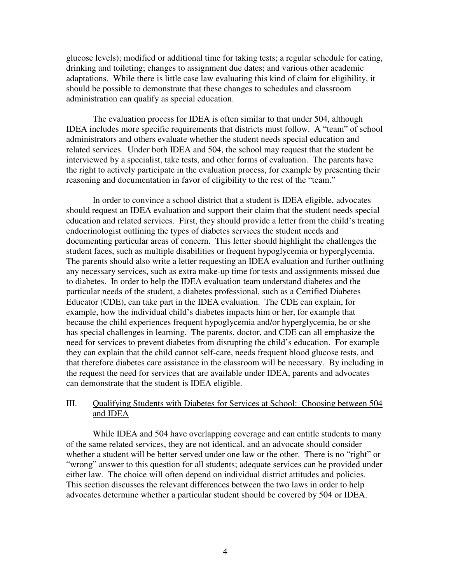glucose levels); modified or additional time for taking tests; a regular schedule for eating, drinking and toileting; changes to assignment due dates; and various other academic adaptations. While there is little case law evaluating this kind of claim for eligibility, it should be possible to demonstrate that these changes to schedules and classroom administration can qualify as special education.

 The evaluation process for IDEA is often similar to that under 504, although IDEA includes more specific requirements that districts must follow. A "team" of school administrators and others evaluate whether the student needs special education and related services. Under both IDEA and 504, the school may request that the student be interviewed by a specialist, take tests, and other forms of evaluation. The parents have the right to actively participate in the evaluation process, for example by presenting their reasoning and documentation in favor of eligibility to the rest of the "team."

 In order to convince a school district that a student is IDEA eligible, advocates should request an IDEA evaluation and support their claim that the student needs special education and related services. First, they should provide a letter from the child's treating endocrinologist outlining the types of diabetes services the student needs and documenting particular areas of concern. This letter should highlight the challenges the student faces, such as multiple disabilities or frequent hypoglycemia or hyperglycemia. The parents should also write a letter requesting an IDEA evaluation and further outlining any necessary services, such as extra make-up time for tests and assignments missed due to diabetes. In order to help the IDEA evaluation team understand diabetes and the particular needs of the student, a diabetes professional, such as a Certified Diabetes Educator (CDE), can take part in the IDEA evaluation. The CDE can explain, for example, how the individual child's diabetes impacts him or her, for example that because the child experiences frequent hypoglycemia and/or hyperglycemia, he or she has special challenges in learning. The parents, doctor, and CDE can all emphasize the need for services to prevent diabetes from disrupting the child's education. For example they can explain that the child cannot self-care, needs frequent blood glucose tests, and that therefore diabetes care assistance in the classroom will be necessary. By including in the request the need for services that are available under IDEA, parents and advocates can demonstrate that the student is IDEA eligible.

### III. Qualifying Students with Diabetes for Services at School: Choosing between 504 and IDEA

While IDEA and 504 have overlapping coverage and can entitle students to many of the same related services, they are not identical, and an advocate should consider whether a student will be better served under one law or the other. There is no "right" or "wrong" answer to this question for all students; adequate services can be provided under either law. The choice will often depend on individual district attitudes and policies. This section discusses the relevant differences between the two laws in order to help advocates determine whether a particular student should be covered by 504 or IDEA.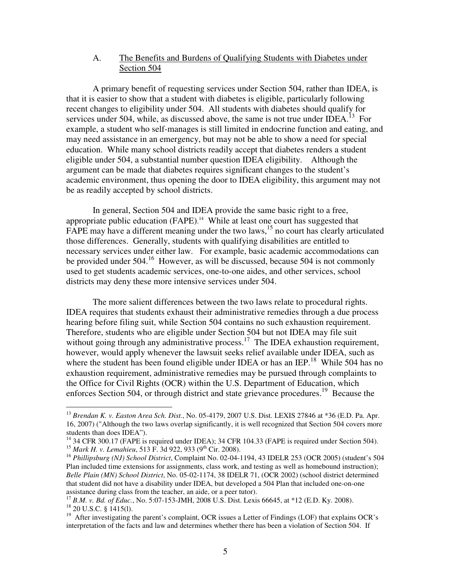# A. The Benefits and Burdens of Qualifying Students with Diabetes under Section 504

 A primary benefit of requesting services under Section 504, rather than IDEA, is that it is easier to show that a student with diabetes is eligible, particularly following recent changes to eligibility under 504. All students with diabetes should qualify for services under 504, while, as discussed above, the same is not true under IDEA.<sup>13</sup> For example, a student who self-manages is still limited in endocrine function and eating, and may need assistance in an emergency, but may not be able to show a need for special education. While many school districts readily accept that diabetes renders a student eligible under 504, a substantial number question IDEA eligibility. Although the argument can be made that diabetes requires significant changes to the student's academic environment, thus opening the door to IDEA eligibility, this argument may not be as readily accepted by school districts.

 In general, Section 504 and IDEA provide the same basic right to a free, appropriate public education (FAPE). <sup>14</sup> While at least one court has suggested that FAPE may have a different meaning under the two laws,<sup>15</sup> no court has clearly articulated those differences. Generally, students with qualifying disabilities are entitled to necessary services under either law. For example, basic academic accommodations can be provided under 504.<sup>16</sup> However, as will be discussed, because 504 is not commonly used to get students academic services, one-to-one aides, and other services, school districts may deny these more intensive services under 504.

 The more salient differences between the two laws relate to procedural rights. IDEA requires that students exhaust their administrative remedies through a due process hearing before filing suit, while Section 504 contains no such exhaustion requirement. Therefore, students who are eligible under Section 504 but not IDEA may file suit without going through any administrative process.<sup>17</sup> The IDEA exhaustion requirement, however, would apply whenever the lawsuit seeks relief available under IDEA, such as where the student has been found eligible under IDEA or has an IEP.<sup>18</sup> While 504 has no exhaustion requirement, administrative remedies may be pursued through complaints to the Office for Civil Rights (OCR) within the U.S. Department of Education, which enforces Section 504, or through district and state grievance procedures.<sup>19</sup> Because the

<sup>13</sup> *Brendan K. v. Easton Area Sch. Dist.*, No. 05-4179, 2007 U.S. Dist. LEXIS 27846 at \*36 (E.D. Pa. Apr. 16, 2007) ("Although the two laws overlap significantly, it is well recognized that Section 504 covers more students than does IDEA").

<sup>&</sup>lt;sup>14</sup> 34 CFR 300.17 (FAPE is required under IDEA); 34 CFR 104.33 (FAPE is required under Section 504). <sup>15</sup> Mark H. v. Lemahieu, 513 F. 3d 922, 933 (9<sup>th</sup> Cir. 2008).

<sup>&</sup>lt;sup>16</sup> Phillipsburg (NJ) School District, Complaint No. 02-04-1194, 43 IDELR 253 (OCR 2005) (student's 504 Plan included time extensions for assignments, class work, and testing as well as homebound instruction); *Belle Plain (MN) School District*, No. 05-02-1174, 38 IDELR 71, (OCR 2002) (school district determined that student did not have a disability under IDEA, but developed a 504 Plan that included one-on-one assistance during class from the teacher, an aide, or a peer tutor).

<sup>17</sup> *B.M. v. Bd. of Educ.*, No. 5:07-153-JMH, 2008 U.S. Dist. Lexis 66645, at \*12 (E.D. Ky. 2008).  $18$  20 U.S.C. § 1415(1).

<sup>&</sup>lt;sup>19</sup> After investigating the parent's complaint, OCR issues a Letter of Findings (LOF) that explains OCR's interpretation of the facts and law and determines whether there has been a violation of Section 504. If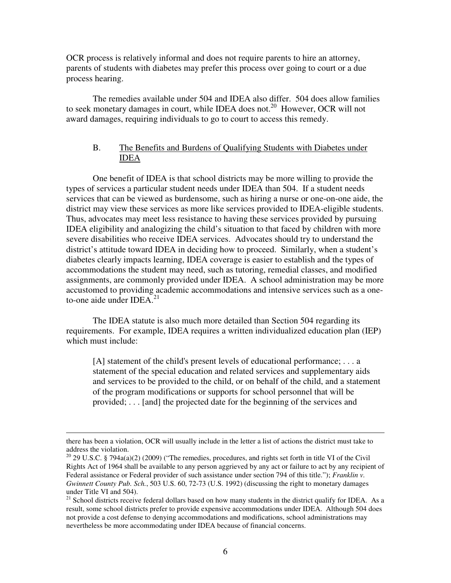OCR process is relatively informal and does not require parents to hire an attorney, parents of students with diabetes may prefer this process over going to court or a due process hearing.

 The remedies available under 504 and IDEA also differ. 504 does allow families to seek monetary damages in court, while IDEA does not.<sup>20</sup> However, OCR will not award damages, requiring individuals to go to court to access this remedy.

#### B. The Benefits and Burdens of Qualifying Students with Diabetes under IDEA

 One benefit of IDEA is that school districts may be more willing to provide the types of services a particular student needs under IDEA than 504. If a student needs services that can be viewed as burdensome, such as hiring a nurse or one-on-one aide, the district may view these services as more like services provided to IDEA-eligible students. Thus, advocates may meet less resistance to having these services provided by pursuing IDEA eligibility and analogizing the child's situation to that faced by children with more severe disabilities who receive IDEA services. Advocates should try to understand the district's attitude toward IDEA in deciding how to proceed. Similarly, when a student's diabetes clearly impacts learning, IDEA coverage is easier to establish and the types of accommodations the student may need, such as tutoring, remedial classes, and modified assignments, are commonly provided under IDEA. A school administration may be more accustomed to providing academic accommodations and intensive services such as a oneto-one aide under  $IDEA<sup>21</sup>$ 

 The IDEA statute is also much more detailed than Section 504 regarding its requirements. For example, IDEA requires a written individualized education plan (IEP) which must include:

[A] statement of the child's present levels of educational performance; ... a statement of the special education and related services and supplementary aids and services to be provided to the child, or on behalf of the child, and a statement of the program modifications or supports for school personnel that will be provided; . . . [and] the projected date for the beginning of the services and

there has been a violation, OCR will usually include in the letter a list of actions the district must take to address the violation.

<sup>&</sup>lt;sup>20</sup> 29 U.S.C. § 794a(a)(2) (2009) ("The remedies, procedures, and rights set forth in title VI of the Civil Rights Act of 1964 shall be available to any person aggrieved by any act or failure to act by any recipient of Federal assistance or Federal provider of such assistance under section 794 of this title."); *Franklin v. Gwinnett County Pub. Sch.*, 503 U.S. 60, 72-73 (U.S. 1992) (discussing the right to monetary damages under Title VI and 504).

<sup>&</sup>lt;sup>21</sup> School districts receive federal dollars based on how many students in the district qualify for IDEA. As a result, some school districts prefer to provide expensive accommodations under IDEA. Although 504 does not provide a cost defense to denying accommodations and modifications, school administrations may nevertheless be more accommodating under IDEA because of financial concerns.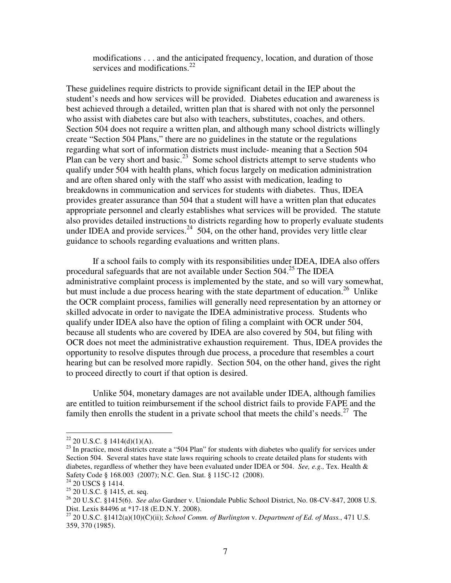modifications . . . and the anticipated frequency, location, and duration of those services and modifications.<sup>22</sup>

These guidelines require districts to provide significant detail in the IEP about the student's needs and how services will be provided. Diabetes education and awareness is best achieved through a detailed, written plan that is shared with not only the personnel who assist with diabetes care but also with teachers, substitutes, coaches, and others. Section 504 does not require a written plan, and although many school districts willingly create "Section 504 Plans," there are no guidelines in the statute or the regulations regarding what sort of information districts must include- meaning that a Section 504 Plan can be very short and basic.<sup>23</sup> Some school districts attempt to serve students who qualify under 504 with health plans, which focus largely on medication administration and are often shared only with the staff who assist with medication, leading to breakdowns in communication and services for students with diabetes. Thus, IDEA provides greater assurance than 504 that a student will have a written plan that educates appropriate personnel and clearly establishes what services will be provided. The statute also provides detailed instructions to districts regarding how to properly evaluate students under IDEA and provide services.<sup>24</sup> 504, on the other hand, provides very little clear guidance to schools regarding evaluations and written plans.

If a school fails to comply with its responsibilities under IDEA, IDEA also offers procedural safeguards that are not available under Section  $504.<sup>25</sup>$  The IDEA administrative complaint process is implemented by the state, and so will vary somewhat, but must include a due process hearing with the state department of education.<sup>26</sup> Unlike the OCR complaint process, families will generally need representation by an attorney or skilled advocate in order to navigate the IDEA administrative process. Students who qualify under IDEA also have the option of filing a complaint with OCR under 504, because all students who are covered by IDEA are also covered by 504, but filing with OCR does not meet the administrative exhaustion requirement. Thus, IDEA provides the opportunity to resolve disputes through due process, a procedure that resembles a court hearing but can be resolved more rapidly. Section 504, on the other hand, gives the right to proceed directly to court if that option is desired.

 Unlike 504, monetary damages are not available under IDEA, although families are entitled to tuition reimbursement if the school district fails to provide FAPE and the family then enrolls the student in a private school that meets the child's needs.<sup>27</sup> The

 $22$  20 U.S.C. § 1414(d)(1)(A).

<sup>&</sup>lt;sup>23</sup> In practice, most districts create a "504 Plan" for students with diabetes who qualify for services under Section 504. Several states have state laws requiring schools to create detailed plans for students with diabetes, regardless of whether they have been evaluated under IDEA or 504. *See, e.g.,* Tex. Health & Safety Code § 168.003 (2007); N.C. Gen. Stat. § 115C-12 (2008).

 $24$  20 USCS § 1414.

<sup>&</sup>lt;sup>25</sup> 20 U.S.C. § 1415, et. seq.

<sup>26</sup> 20 U.S.C. §1415(6). *See also* Gardner v. Uniondale Public School District, No. 08-CV-847, 2008 U.S. Dist. Lexis 84496 at \*17-18 (E.D.N.Y. 2008).

<sup>27</sup> 20 U.S.C. §1412(a)(10)(C)(ii); *School Comm. of Burlington* v. *Department of Ed. of Mass.*, 471 U.S. 359, 370 (1985).